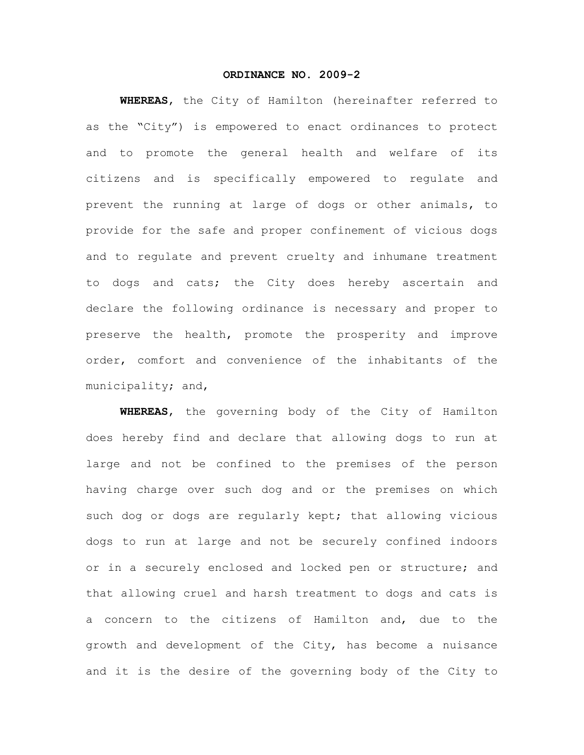## **ORDINANCE NO. 2009-2**

**WHEREAS**, the City of Hamilton (hereinafter referred to as the "City") is empowered to enact ordinances to protect and to promote the general health and welfare of its citizens and is specifically empowered to regulate and prevent the running at large of dogs or other animals, to provide for the safe and proper confinement of vicious dogs and to regulate and prevent cruelty and inhumane treatment to dogs and cats; the City does hereby ascertain and declare the following ordinance is necessary and proper to preserve the health, promote the prosperity and improve order, comfort and convenience of the inhabitants of the municipality; and,

**WHEREAS**, the governing body of the City of Hamilton does hereby find and declare that allowing dogs to run at large and not be confined to the premises of the person having charge over such dog and or the premises on which such dog or dogs are regularly kept; that allowing vicious dogs to run at large and not be securely confined indoors or in a securely enclosed and locked pen or structure; and that allowing cruel and harsh treatment to dogs and cats is a concern to the citizens of Hamilton and, due to the growth and development of the City, has become a nuisance and it is the desire of the governing body of the City to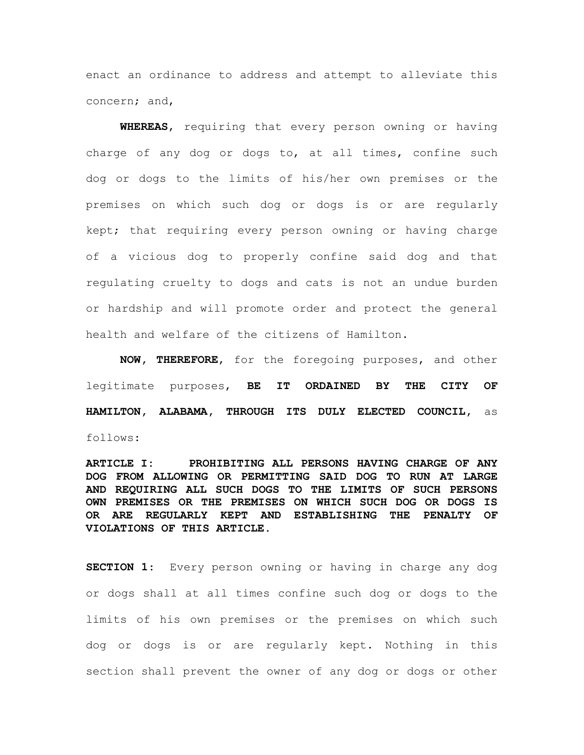enact an ordinance to address and attempt to alleviate this concern; and,

**WHEREAS**, requiring that every person owning or having charge of any dog or dogs to, at all times, confine such dog or dogs to the limits of his/her own premises or the premises on which such dog or dogs is or are regularly kept; that requiring every person owning or having charge of a vicious dog to properly confine said dog and that regulating cruelty to dogs and cats is not an undue burden or hardship and will promote order and protect the general health and welfare of the citizens of Hamilton.

**NOW, THEREFORE**, for the foregoing purposes, and other legitimate purposes, **BE IT ORDAINED BY THE CITY OF HAMILTON, ALABAMA, THROUGH ITS DULY ELECTED COUNCIL,** as follows:

**ARTICLE I: PROHIBITING ALL PERSONS HAVING CHARGE OF ANY DOG FROM ALLOWING OR PERMITTING SAID DOG TO RUN AT LARGE AND REQUIRING ALL SUCH DOGS TO THE LIMITS OF SUCH PERSONS OWN PREMISES OR THE PREMISES ON WHICH SUCH DOG OR DOGS IS OR ARE REGULARLY KEPT AND ESTABLISHING THE PENALTY OF VIOLATIONS OF THIS ARTICLE.**

**SECTION 1**: Every person owning or having in charge any dog or dogs shall at all times confine such dog or dogs to the limits of his own premises or the premises on which such dog or dogs is or are regularly kept. Nothing in this section shall prevent the owner of any dog or dogs or other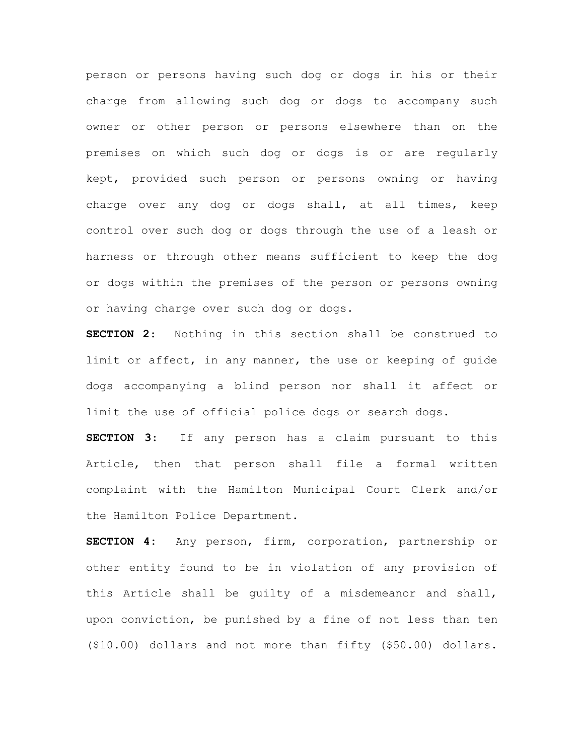person or persons having such dog or dogs in his or their charge from allowing such dog or dogs to accompany such owner or other person or persons elsewhere than on the premises on which such dog or dogs is or are regularly kept, provided such person or persons owning or having charge over any dog or dogs shall, at all times, keep control over such dog or dogs through the use of a leash or harness or through other means sufficient to keep the dog or dogs within the premises of the person or persons owning or having charge over such dog or dogs.

**SECTION 2**: Nothing in this section shall be construed to limit or affect, in any manner, the use or keeping of guide dogs accompanying a blind person nor shall it affect or limit the use of official police dogs or search dogs.

**SECTION 3**: If any person has a claim pursuant to this Article, then that person shall file a formal written complaint with the Hamilton Municipal Court Clerk and/or the Hamilton Police Department.

**SECTION 4:** Any person, firm, corporation, partnership or other entity found to be in violation of any provision of this Article shall be guilty of a misdemeanor and shall, upon conviction, be punished by a fine of not less than ten (\$10.00) dollars and not more than fifty (\$50.00) dollars.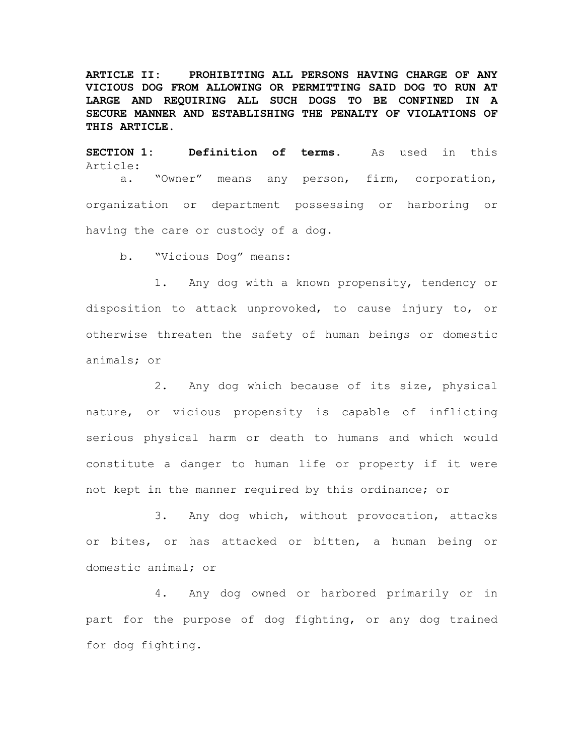**ARTICLE II: PROHIBITING ALL PERSONS HAVING CHARGE OF ANY VICIOUS DOG FROM ALLOWING OR PERMITTING SAID DOG TO RUN AT LARGE AND REQUIRING ALL SUCH DOGS TO BE CONFINED IN A SECURE MANNER AND ESTABLISHING THE PENALTY OF VIOLATIONS OF THIS ARTICLE.**

**SECTION 1: Definition of terms**. As used in this Article: a. "Owner" means any person, firm, corporation, organization or department possessing or harboring or having the care or custody of a dog.

b. "Vicious Dog" means:

1. Any dog with a known propensity, tendency or disposition to attack unprovoked, to cause injury to, or otherwise threaten the safety of human beings or domestic animals; or

2. Any dog which because of its size, physical nature, or vicious propensity is capable of inflicting serious physical harm or death to humans and which would constitute a danger to human life or property if it were not kept in the manner required by this ordinance; or

3. Any dog which, without provocation, attacks or bites, or has attacked or bitten, a human being or domestic animal; or

4. Any dog owned or harbored primarily or in part for the purpose of dog fighting, or any dog trained for dog fighting.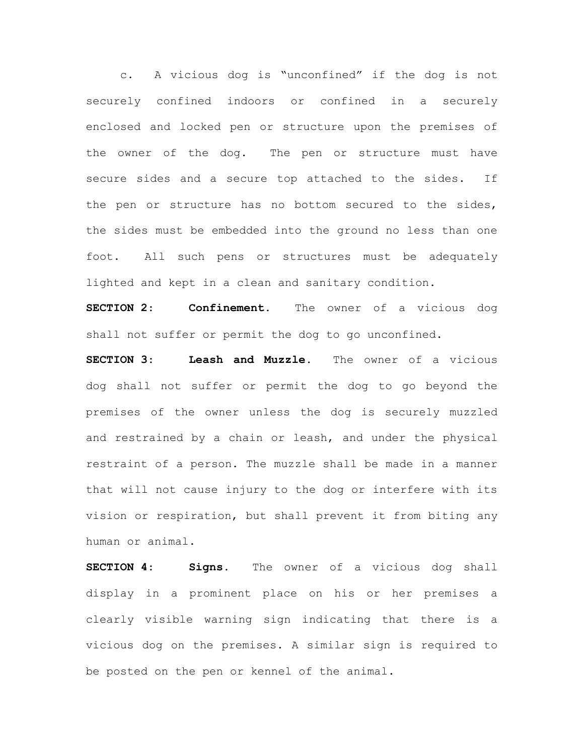c. A vicious dog is "unconfined" if the dog is not securely confined indoors or confined in a securely enclosed and locked pen or structure upon the premises of the owner of the dog. The pen or structure must have secure sides and a secure top attached to the sides. If the pen or structure has no bottom secured to the sides, the sides must be embedded into the ground no less than one foot. All such pens or structures must be adequately lighted and kept in a clean and sanitary condition.

**SECTION 2**: **Confinement.** The owner of a vicious dog shall not suffer or permit the dog to go unconfined.

**SECTION 3**: **Leash and Muzzle.** The owner of a vicious dog shall not suffer or permit the dog to go beyond the premises of the owner unless the dog is securely muzzled and restrained by a chain or leash, and under the physical restraint of a person. The muzzle shall be made in a manner that will not cause injury to the dog or interfere with its vision or respiration, but shall prevent it from biting any human or animal.

**SECTION 4**: **Signs.** The owner of a vicious dog shall display in a prominent place on his or her premises a clearly visible warning sign indicating that there is a vicious dog on the premises. A similar sign is required to be posted on the pen or kennel of the animal.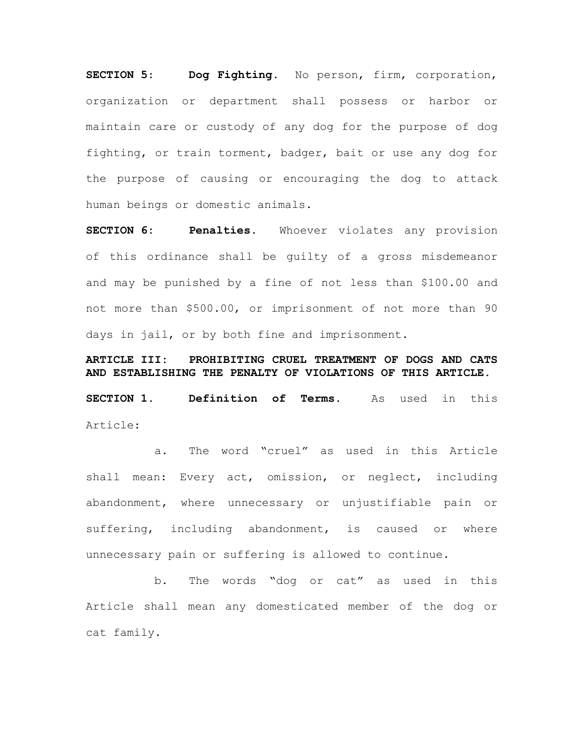**SECTION 5**: **Dog Fighting.** No person, firm, corporation, organization or department shall possess or harbor or maintain care or custody of any dog for the purpose of dog fighting, or train torment, badger, bait or use any dog for the purpose of causing or encouraging the dog to attack human beings or domestic animals.

**SECTION 6: Penalties.** Whoever violates any provision of this ordinance shall be guilty of a gross misdemeanor and may be punished by a fine of not less than \$100.00 and not more than \$500.00, or imprisonment of not more than 90 days in jail, or by both fine and imprisonment.

**ARTICLE III: PROHIBITING CRUEL TREATMENT OF DOGS AND CATS AND ESTABLISHING THE PENALTY OF VIOLATIONS OF THIS ARTICLE. SECTION 1. Definition of Terms.** As used in this Article:

a. The word "cruel" as used in this Article shall mean: Every act, omission, or neglect, including abandonment, where unnecessary or unjustifiable pain or suffering, including abandonment, is caused or where unnecessary pain or suffering is allowed to continue.

b. The words "dog or cat" as used in this Article shall mean any domesticated member of the dog or cat family.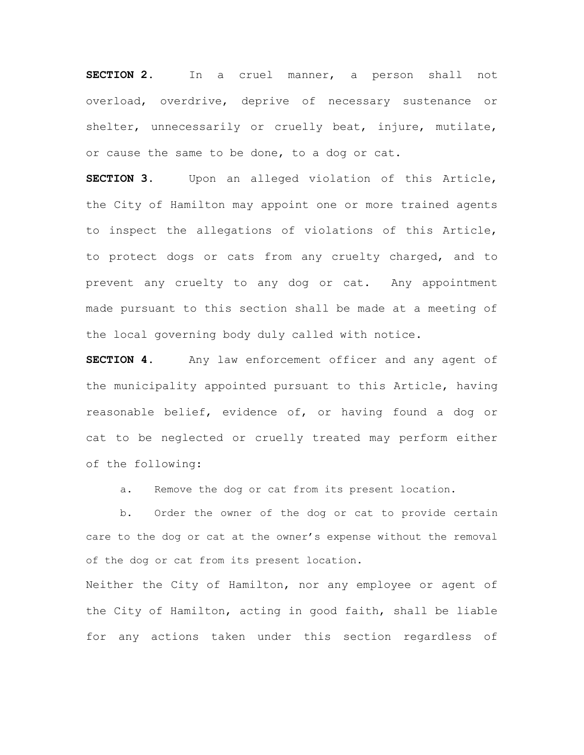**SECTION 2**. In a cruel manner, a person shall not overload, overdrive, deprive of necessary sustenance or shelter, unnecessarily or cruelly beat, injure, mutilate, or cause the same to be done, to a dog or cat.

**SECTION 3**. Upon an alleged violation of this Article, the City of Hamilton may appoint one or more trained agents to inspect the allegations of violations of this Article, to protect dogs or cats from any cruelty charged, and to prevent any cruelty to any dog or cat. Any appointment made pursuant to this section shall be made at a meeting of the local governing body duly called with notice.

**SECTION 4.** Any law enforcement officer and any agent of the municipality appointed pursuant to this Article, having reasonable belief, evidence of, or having found a dog or cat to be neglected or cruelly treated may perform either of the following:

a. Remove the dog or cat from its present location.

b. Order the owner of the dog or cat to provide certain care to the dog or cat at the owner's expense without the removal of the dog or cat from its present location.

Neither the City of Hamilton, nor any employee or agent of the City of Hamilton, acting in good faith, shall be liable for any actions taken under this section regardless of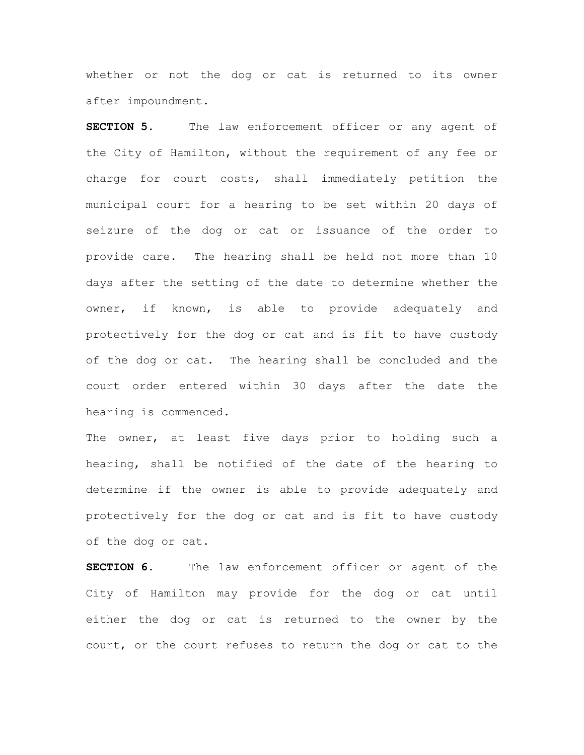whether or not the dog or cat is returned to its owner after impoundment.

**SECTION 5.** The law enforcement officer or any agent of the City of Hamilton, without the requirement of any fee or charge for court costs, shall immediately petition the municipal court for a hearing to be set within 20 days of seizure of the dog or cat or issuance of the order to provide care. The hearing shall be held not more than 10 days after the setting of the date to determine whether the owner, if known, is able to provide adequately and protectively for the dog or cat and is fit to have custody of the dog or cat. The hearing shall be concluded and the court order entered within 30 days after the date the hearing is commenced.

The owner, at least five days prior to holding such a hearing, shall be notified of the date of the hearing to determine if the owner is able to provide adequately and protectively for the dog or cat and is fit to have custody of the dog or cat.

**SECTION 6**. The law enforcement officer or agent of the City of Hamilton may provide for the dog or cat until either the dog or cat is returned to the owner by the court, or the court refuses to return the dog or cat to the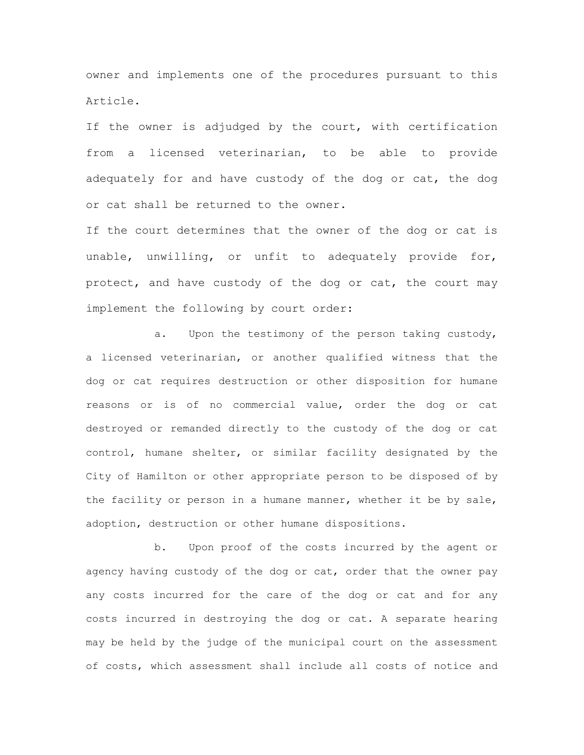owner and implements one of the procedures pursuant to this Article.

If the owner is adjudged by the court, with certification from a licensed veterinarian, to be able to provide adequately for and have custody of the dog or cat, the dog or cat shall be returned to the owner.

If the court determines that the owner of the dog or cat is unable, unwilling, or unfit to adequately provide for, protect, and have custody of the dog or cat, the court may implement the following by court order:

a. Upon the testimony of the person taking custody, a licensed veterinarian, or another qualified witness that the dog or cat requires destruction or other disposition for humane reasons or is of no commercial value, order the dog or cat destroyed or remanded directly to the custody of the dog or cat control, humane shelter, or similar facility designated by the City of Hamilton or other appropriate person to be disposed of by the facility or person in a humane manner, whether it be by sale, adoption, destruction or other humane dispositions.

b. Upon proof of the costs incurred by the agent or agency having custody of the dog or cat, order that the owner pay any costs incurred for the care of the dog or cat and for any costs incurred in destroying the dog or cat. A separate hearing may be held by the judge of the municipal court on the assessment of costs, which assessment shall include all costs of notice and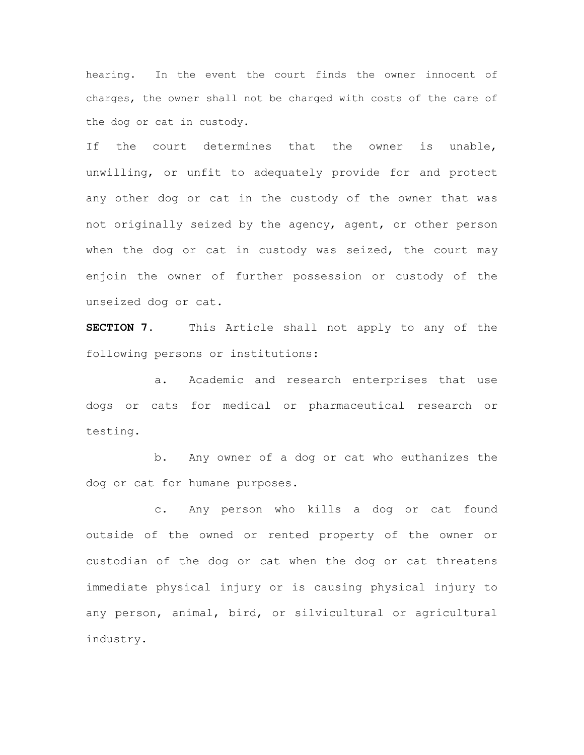hearing. In the event the court finds the owner innocent of charges, the owner shall not be charged with costs of the care of the dog or cat in custody.

If the court determines that the owner is unable, unwilling, or unfit to adequately provide for and protect any other dog or cat in the custody of the owner that was not originally seized by the agency, agent, or other person when the dog or cat in custody was seized, the court may enjoin the owner of further possession or custody of the unseized dog or cat.

**SECTION 7**. This Article shall not apply to any of the following persons or institutions:

a. Academic and research enterprises that use dogs or cats for medical or pharmaceutical research or testing.

b. Any owner of a dog or cat who euthanizes the dog or cat for humane purposes.

c. Any person who kills a dog or cat found outside of the owned or rented property of the owner or custodian of the dog or cat when the dog or cat threatens immediate physical injury or is causing physical injury to any person, animal, bird, or silvicultural or agricultural industry.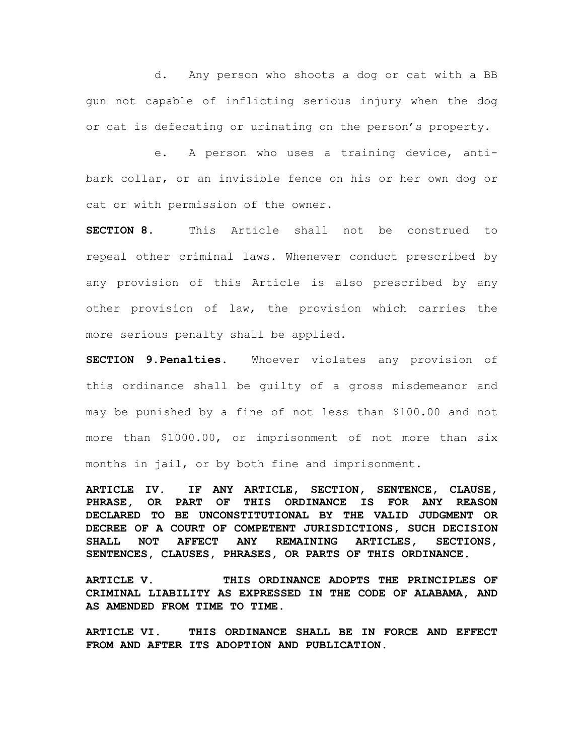d. Any person who shoots a dog or cat with a BB gun not capable of inflicting serious injury when the dog or cat is defecating or urinating on the person's property.

e. A person who uses a training device, antibark collar, or an invisible fence on his or her own dog or cat or with permission of the owner.

**SECTION 8**. This Article shall not be construed to repeal other criminal laws. Whenever conduct prescribed by any provision of this Article is also prescribed by any other provision of law, the provision which carries the more serious penalty shall be applied.

**SECTION 9**.**Penalties.** Whoever violates any provision of this ordinance shall be guilty of a gross misdemeanor and may be punished by a fine of not less than \$100.00 and not more than \$1000.00, or imprisonment of not more than six months in jail, or by both fine and imprisonment.

**ARTICLE IV. IF ANY ARTICLE, SECTION, SENTENCE, CLAUSE, PHRASE, OR PART OF THIS ORDINANCE IS FOR ANY REASON DECLARED TO BE UNCONSTITUTIONAL BY THE VALID JUDGMENT OR DECREE OF A COURT OF COMPETENT JURISDICTIONS, SUCH DECISION SHALL NOT AFFECT ANY REMAINING ARTICLES, SECTIONS, SENTENCES, CLAUSES, PHRASES, OR PARTS OF THIS ORDINANCE.**

**ARTICLE V. THIS ORDINANCE ADOPTS THE PRINCIPLES OF CRIMINAL LIABILITY AS EXPRESSED IN THE CODE OF ALABAMA, AND AS AMENDED FROM TIME TO TIME.**

**ARTICLE VI. THIS ORDINANCE SHALL BE IN FORCE AND EFFECT FROM AND AFTER ITS ADOPTION AND PUBLICATION.**